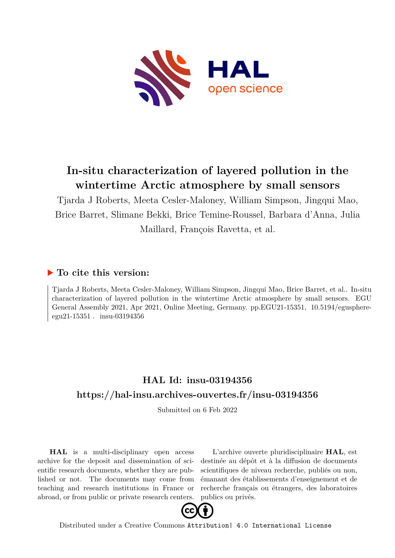

## **In-situ characterization of layered pollution in the wintertime Arctic atmosphere by small sensors**

Tjarda J Roberts, Meeta Cesler-Maloney, William Simpson, Jingqui Mao, Brice Barret, Slimane Bekki, Brice Temine-Roussel, Barbara d'Anna, Julia Maillard, François Ravetta, et al.

## **To cite this version:**

Tjarda J Roberts, Meeta Cesler-Maloney, William Simpson, Jingqui Mao, Brice Barret, et al.. In-situ characterization of layered pollution in the wintertime Arctic atmosphere by small sensors. EGU General Assembly 2021, Apr 2021, Online Meeting, Germany. pp.EGU21-15351, 10.5194/egusphere $eeu21-15351$ . insu-03194356

## **HAL Id: insu-03194356 <https://hal-insu.archives-ouvertes.fr/insu-03194356>**

Submitted on 6 Feb 2022

**HAL** is a multi-disciplinary open access archive for the deposit and dissemination of scientific research documents, whether they are published or not. The documents may come from teaching and research institutions in France or abroad, or from public or private research centers.

L'archive ouverte pluridisciplinaire **HAL**, est destinée au dépôt et à la diffusion de documents scientifiques de niveau recherche, publiés ou non, émanant des établissements d'enseignement et de recherche français ou étrangers, des laboratoires publics ou privés.



Distributed under a Creative Commons [Attribution| 4.0 International License](http://creativecommons.org/licenses/by/4.0/)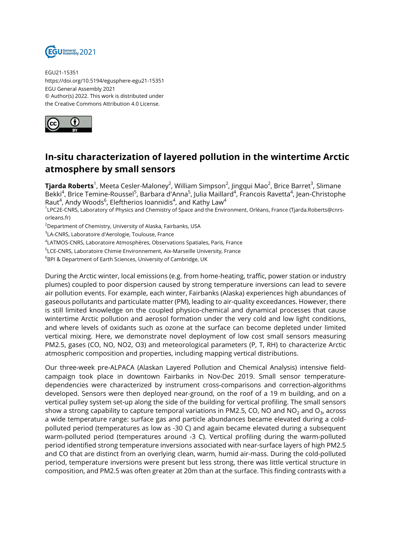

EGU21-15351 https://doi.org/10.5194/egusphere-egu21-15351 EGU General Assembly 2021 © Author(s) 2022. This work is distributed under the Creative Commons Attribution 4.0 License.



## **In-situ characterization of layered pollution in the wintertime Arctic atmosphere by small sensors**

**Tjarda Roberts**<sup>1</sup>, Meeta Cesler-Maloney<sup>2</sup>, William Simpson<sup>2</sup>, Jingqui Mao<sup>2</sup>, Brice Barret<sup>3</sup>, Slimane Bekki<sup>4</sup>, Brice Temine-Roussel<sup>5</sup>, Barbara d'Anna<sup>5</sup>, Julia Maillard<sup>4</sup>, Francois Ravetta<sup>4</sup>, Jean-Christophe Raut $^4$ , Andy Woods $^6$ , Eleftherios Ioannidis $^4$ , and Kathy Law $^4$ 

1 LPC2E-CNRS, Laboratory of Physics and Chemistry of Space and the Environment, Orléans, France (Tjarda.Roberts@cnrsorleans.fr)

<sup>2</sup>Department of Chemistry, University of Alaska, Fairbanks, USA

<sup>3</sup>LA-CNRS, Laboratoire d'Aerologie, Toulouse, France

4 LATMOS-CNRS, Laboratoire Atmosphères, Observations Spatiales, Paris, France

<sup>5</sup>LCE-CNRS, Laboratoire Chimie Environnement, Aix-Marseille University, France

<sup>6</sup>BPI & Department of Earth Sciences, University of Cambridge, UK

During the Arctic winter, local emissions (e.g. from home-heating, traffic, power station or industry plumes) coupled to poor dispersion caused by strong temperature inversions can lead to severe air pollution events. For example, each winter, Fairbanks (Alaska) experiences high abundances of gaseous pollutants and particulate matter (PM), leading to air-quality exceedances. However, there is still limited knowledge on the coupled physico-chemical and dynamical processes that cause wintertime Arctic pollution and aerosol formation under the very cold and low light conditions, and where levels of oxidants such as ozone at the surface can become depleted under limited vertical mixing. Here, we demonstrate novel deployment of low cost small sensors measuring PM2.5, gases (CO, NO, NO2, O3) and meteorological parameters (P, T, RH) to characterize Arctic atmospheric composition and properties, including mapping vertical distributions.

Our three-week pre-ALPACA (Alaskan Layered Pollution and Chemical Analysis) intensive fieldcampaign took place in downtown Fairbanks in Nov-Dec 2019. Small sensor temperaturedependencies were characterized by instrument cross-comparisons and correction-algorithms developed. Sensors were then deployed near-ground, on the roof of a 19 m building, and on a vertical pulley system set-up along the side of the building for vertical profiling. The small sensors show a strong capability to capture temporal variations in PM2.5, CO, NO and NO $_2$  and O $_3$ , across a wide temperature range: surface gas and particle abundances became elevated during a coldpolluted period (temperatures as low as -30 C) and again became elevated during a subsequent warm-polluted period (temperatures around -3 C). Vertical profiling during the warm-polluted period identified strong temperature inversions associated with near-surface layers of high PM2.5 and CO that are distinct from an overlying clean, warm, humid air-mass. During the cold-polluted period, temperature inversions were present but less strong, there was little vertical structure in composition, and PM2.5 was often greater at 20m than at the surface. This finding contrasts with a